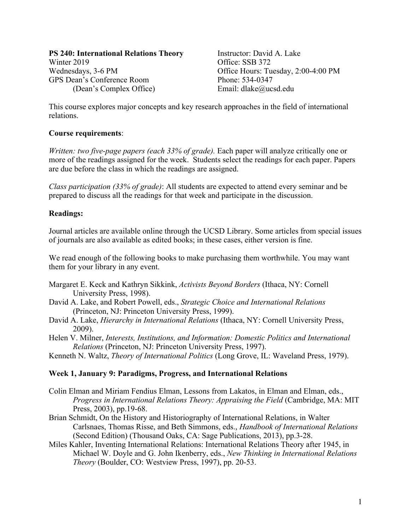**PS 240: International Relations Theory Figure 1. Instructor: David A. Lake** Winter 2019<br>Wednesdays, 3-6 PM<br>Office: SSB 372<br>Office Hours: Tu GPS Dean's Conference Room Phone: 534-0347 (Dean's Complex Office) Email: dlake@ucsd.edu

Office Hours: Tuesday, 2:00-4:00 PM

This course explores major concepts and key research approaches in the field of international relations.

## **Course requirements**:

*Written: two five-page papers (each 33% of grade).* Each paper will analyze critically one or more of the readings assigned for the week. Students select the readings for each paper. Papers are due before the class in which the readings are assigned.

*Class participation (33% of grade)*: All students are expected to attend every seminar and be prepared to discuss all the readings for that week and participate in the discussion.

# **Readings:**

Journal articles are available online through the UCSD Library. Some articles from special issues of journals are also available as edited books; in these cases, either version is fine.

We read enough of the following books to make purchasing them worthwhile. You may want them for your library in any event.

- Margaret E. Keck and Kathryn Sikkink, *Activists Beyond Borders* (Ithaca, NY: Cornell University Press, 1998).
- David A. Lake, and Robert Powell, eds., *Strategic Choice and International Relations* (Princeton, NJ: Princeton University Press, 1999).
- David A. Lake, *Hierarchy in International Relations* (Ithaca, NY: Cornell University Press, 2009).
- Helen V. Milner, *Interests, Institutions, and Information: Domestic Politics and International Relations* (Princeton, NJ: Princeton University Press, 1997).
- Kenneth N. Waltz, *Theory of International Politics* (Long Grove, IL: Waveland Press, 1979).

#### **Week 1, January 9: Paradigms, Progress, and International Relations**

- Colin Elman and Miriam Fendius Elman, Lessons from Lakatos, in Elman and Elman, eds., *Progress in International Relations Theory: Appraising the Field* (Cambridge, MA: MIT Press, 2003), pp.19-68.
- Brian Schmidt, On the History and Historiography of International Relations, in Walter Carlsnaes, Thomas Risse, and Beth Simmons, eds., *Handbook of International Relations* (Second Edition) (Thousand Oaks, CA: Sage Publications, 2013), pp.3-28.
- Miles Kahler, Inventing International Relations: International Relations Theory after 1945, in Michael W. Doyle and G. John Ikenberry, eds., *New Thinking in International Relations Theory* (Boulder, CO: Westview Press, 1997), pp. 20-53.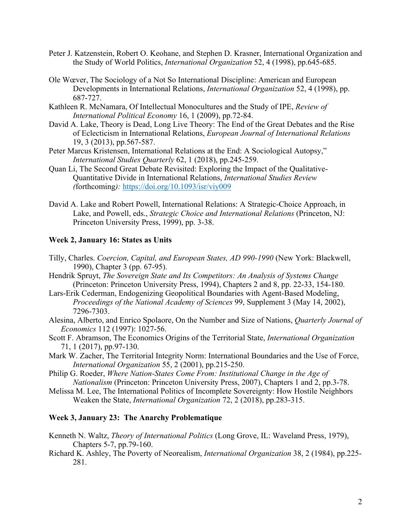- Peter J. Katzenstein, Robert O. Keohane, and Stephen D. Krasner, International Organization and the Study of World Politics, *International Organization* 52, 4 (1998), pp.645-685.
- Ole Wœver, The Sociology of a Not So International Discipline: American and European Developments in International Relations, *International Organization* 52, 4 (1998), pp. 687-727.
- Kathleen R. McNamara, Of Intellectual Monocultures and the Study of IPE, *Review of International Political Economy* 16, 1 (2009), pp.72-84.
- David A. Lake, Theory is Dead, Long Live Theory: The End of the Great Debates and the Rise of Eclecticism in International Relations, *European Journal of International Relations* 19, 3 (2013), pp.567-587.
- Peter Marcus Kristensen, International Relations at the End: A Sociological Autopsy," *International Studies Quarterly* 62, 1 (2018), pp.245-259.
- Quan Li, The Second Great Debate Revisited: Exploring the Impact of the Qualitative-Quantitative Divide in International Relations, *International Studies Review (*forthcoming*):* https://doi.org/10.1093/isr/viy009
- David A. Lake and Robert Powell, International Relations: A Strategic-Choice Approach, in Lake, and Powell, eds., *Strategic Choice and International Relations* (Princeton, NJ: Princeton University Press, 1999), pp. 3-38.

## **Week 2, January 16: States as Units**

- Tilly, Charles. *Coercion, Capital, and European States, AD 990-1990* (New York: Blackwell, 1990), Chapter 3 (pp. 67-95).
- Hendrik Spruyt, *The Sovereign State and Its Competitors: An Analysis of Systems Change* (Princeton: Princeton University Press, 1994), Chapters 2 and 8, pp. 22-33, 154-180.
- Lars-Erik Cederman, Endogenizing Geopolitical Boundaries with Agent-Based Modeling, *Proceedings of the National Academy of Sciences* 99, Supplement 3 (May 14, 2002), 7296-7303.
- Alesina, Alberto, and Enrico Spolaore, On the Number and Size of Nations, *Quarterly Journal of Economics* 112 (1997): 1027-56.
- Scott F. Abramson, The Economics Origins of the Territorial State, *International Organization* 71, 1 (2017), pp.97-130.
- Mark W. Zacher, The Territorial Integrity Norm: International Boundaries and the Use of Force, *International Organization* 55, 2 (2001), pp.215-250.
- Philip G. Roeder, *Where Nation-States Come From: Institutional Change in the Age of Nationalism* (Princeton: Princeton University Press, 2007), Chapters 1 and 2, pp.3-78.
- Melissa M. Lee, The International Politics of Incomplete Sovereignty: How Hostile Neighbors Weaken the State, *International Organization* 72, 2 (2018), pp.283-315.

#### **Week 3, January 23: The Anarchy Problematique**

- Kenneth N. Waltz, *Theory of International Politics* (Long Grove, IL: Waveland Press, 1979), Chapters 5-7, pp.79-160.
- Richard K. Ashley, The Poverty of Neorealism, *International Organization* 38, 2 (1984), pp.225- 281.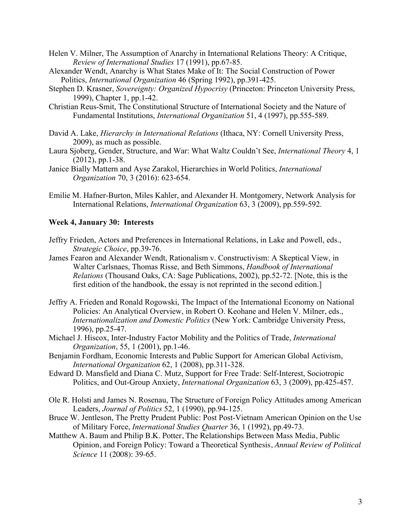- Helen V. Milner, The Assumption of Anarchy in International Relations Theory: A Critique, *Review of International Studies* 17 (1991), pp.67-85.
- Alexander Wendt, Anarchy is What States Make of It: The Social Construction of Power Politics, *International Organization* 46 (Spring 1992), pp.391-425.
- Stephen D. Krasner, *Sovereignty: Organized Hypocrisy* (Princeton: Princeton University Press, 1999), Chapter 1, pp.1-42.
- Christian Reus-Smit, The Constitutional Structure of International Society and the Nature of Fundamental Institutions, *International Organization* 51, 4 (1997), pp.555-589.
- David A. Lake, *Hierarchy in International Relations* (Ithaca, NY: Cornell University Press, 2009), as much as possible.
- Laura Sjoberg, Gender, Structure, and War: What Waltz Couldn't See, *International Theory* 4, 1 (2012), pp.1-38.
- Janice Bially Mattern and Ayse Zarakol, Hierarchies in World Politics, *International Organization* 70, 3 (2016): 623-654.
- Emilie M. Hafner-Burton, Miles Kahler, and Alexander H. Montgomery, Network Analysis for International Relations, *International Organization* 63, 3 (2009), pp.559-592.

### **Week 4, January 30: Interests**

- Jeffry Frieden, Actors and Preferences in International Relations, in Lake and Powell, eds., *Strategic Choice*, pp.39-76.
- James Fearon and Alexander Wendt, Rationalism v. Constructivism: A Skeptical View, in Walter Carlsnaes, Thomas Risse, and Beth Simmons, *Handbook of International Relations* (Thousand Oaks, CA: Sage Publications, 2002), pp.52-72. [Note, this is the first edition of the handbook, the essay is not reprinted in the second edition.]
- Jeffry A. Frieden and Ronald Rogowski, The Impact of the International Economy on National Policies: An Analytical Overview, in Robert O. Keohane and Helen V. Milner, eds., *Internationalization and Domestic Politics* (New York: Cambridge University Press, 1996), pp.25-47.
- Michael J. Hiscox, Inter-Industry Factor Mobility and the Politics of Trade, *International Organization*, 55, 1 (2001), pp.1-46.
- Benjamin Fordham, Economic Interests and Public Support for American Global Activism, *International Organization* 62, 1 (2008), pp.311-328.
- Edward D. Mansfield and Diana C. Mutz, Support for Free Trade: Self-Interest, Sociotropic Politics, and Out-Group Anxiety, *International Organization* 63, 3 (2009), pp.425-457.
- Ole R. Holsti and James N. Rosenau, The Structure of Foreign Policy Attitudes among American Leaders, *Journal of Politics* 52, 1 (1990), pp.94-125.
- Bruce W. Jentleson, The Pretty Prudent Public: Post Post-Vietnam American Opinion on the Use of Military Force, *International Studies Quarter* 36, 1 (1992), pp.49-73.
- Matthew A. Baum and Philip B.K. Potter, The Relationships Between Mass Media, Public Opinion, and Foreign Policy: Toward a Theoretical Synthesis, *Annual Review of Political Science* 11 (2008): 39-65.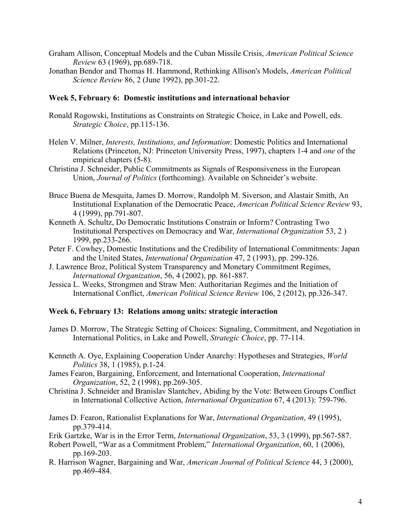- Graham Allison, Conceptual Models and the Cuban Missile Crisis, *American Political Science Review* 63 (1969), pp.689-718.
- Jonathan Bendor and Thomas H. Hammond, Rethinking Allison's Models, *American Political Science Review* 86, 2 (June 1992), pp.301-22.

#### **Week 5, February 6: Domestic institutions and international behavior**

- Ronald Rogowski, Institutions as Constraints on Strategic Choice, in Lake and Powell, eds. *Strategic Choice*, pp.115-136.
- Helen V. Milner, *Interests, Institutions, and Information*: Domestic Politics and International Relations (Princeton, NJ: Princeton University Press, 1997), chapters 1-4 and *one* of the empirical chapters (5-8).
- Christina J. Schneider, Public Commitments as Signals of Responsiveness in the European Union, *Journal of Politics* (forthcoming). Available on Schneider's website.
- Bruce Buena de Mesquita, James D. Morrow, Randolph M. Siverson, and Alastair Smith, An Institutional Explanation of the Democratic Peace, *American Political Science Review* 93, 4 (1999), pp.791-807.
- Kenneth A. Schultz, Do Democratic Institutions Constrain or Inform? Contrasting Two Institutional Perspectives on Democracy and War, *International Organization* 53, 2 ) 1999, pp.233-266.
- Peter F. Cowhey, Domestic Institutions and the Credibility of International Commitments: Japan and the United States, *International Organization* 47, 2 (1993), pp. 299-326.
- J. Lawrence Broz, Political System Transparency and Monetary Commitment Regimes, *International Organization*, 56, 4 (2002), pp. 861-887.
- Jessica L. Weeks, Strongmen and Straw Men: Authoritarian Regimes and the Initiation of International Conflict, *American Political Science Review* 106, 2 (2012), pp.326-347.

### **Week 6, February 13: Relations among units: strategic interaction**

- James D. Morrow, The Strategic Setting of Choices: Signaling, Commitment, and Negotiation in International Politics, in Lake and Powell, *Strategic Choice*, pp. 77-114.
- Kenneth A. Oye, Explaining Cooperation Under Anarchy: Hypotheses and Strategies, *World Politics* 38, 1 (1985), p.1-24.
- James Fearon, Bargaining, Enforcement, and International Cooperation, *International Organization*, 52, 2 (1998), pp.269-305.
- Christina J. Schneider and Branislav Slantchev, Abiding by the Vote: Between Groups Conflict in International Collective Action, *International Organization* 67, 4 (2013): 759-796.
- James D. Fearon, Rationalist Explanations for War, *International Organization*, 49 (1995), pp.379-414.
- Erik Gartzke, War is in the Error Term, *International Organization*, 53, 3 (1999), pp.567-587.
- Robert Powell, "War as a Commitment Problem," *International Organization*, 60, 1 (2006), pp.169-203.
- R. Harrison Wagner, Bargaining and War, *American Journal of Political Science* 44, 3 (2000), pp.469-484.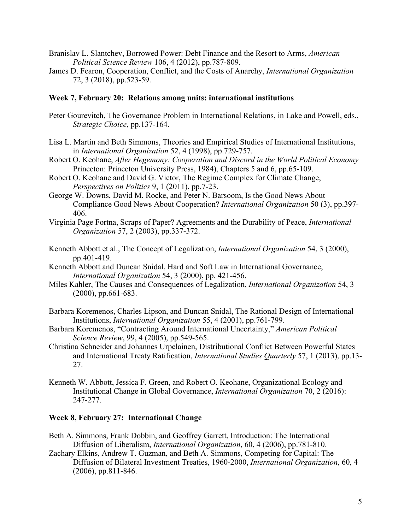- Branislav L. Slantchev, Borrowed Power: Debt Finance and the Resort to Arms, *American Political Science Review* 106, 4 (2012), pp.787-809.
- James D. Fearon, Cooperation, Conflict, and the Costs of Anarchy, *International Organization* 72, 3 (2018), pp.523-59.

#### **Week 7, February 20: Relations among units: international institutions**

- Peter Gourevitch, The Governance Problem in International Relations, in Lake and Powell, eds., *Strategic Choice*, pp.137-164.
- Lisa L. Martin and Beth Simmons, Theories and Empirical Studies of International Institutions, in *International Organization* 52, 4 (1998), pp.729-757.
- Robert O. Keohane, *After Hegemony: Cooperation and Discord in the World Political Economy* Princeton: Princeton University Press, 1984), Chapters 5 and 6, pp.65-109.
- Robert O. Keohane and David G. Victor, The Regime Complex for Climate Change, *Perspectives on Politics* 9, 1 (2011), pp.7-23.
- George W. Downs, David M. Rocke, and Peter N. Barsoom, Is the Good News About Compliance Good News About Cooperation? *International Organization* 50 (3), pp.397- 406.
- Virginia Page Fortna, Scraps of Paper? Agreements and the Durability of Peace, *International Organization* 57, 2 (2003), pp.337-372.
- Kenneth Abbott et al., The Concept of Legalization, *International Organization* 54, 3 (2000), pp.401-419.
- Kenneth Abbott and Duncan Snidal, Hard and Soft Law in International Governance, *International Organization* 54, 3 (2000), pp. 421-456.
- Miles Kahler, The Causes and Consequences of Legalization, *International Organization* 54, 3 (2000), pp.661-683.
- Barbara Koremenos, Charles Lipson, and Duncan Snidal, The Rational Design of International Institutions, *International Organization* 55, 4 (2001), pp.761-799.
- Barbara Koremenos, "Contracting Around International Uncertainty," *American Political Science Review*, 99, 4 (2005), pp.549-565.
- Christina Schneider and Johannes Urpelainen, Distributional Conflict Between Powerful States and International Treaty Ratification, *International Studies Quarterly* 57, 1 (2013), pp.13- 27.
- Kenneth W. Abbott, Jessica F. Green, and Robert O. Keohane, Organizational Ecology and Institutional Change in Global Governance, *International Organization* 70, 2 (2016): 247-277.

## **Week 8, February 27: International Change**

- Beth A. Simmons, Frank Dobbin, and Geoffrey Garrett, Introduction: The International Diffusion of Liberalism, *International Organization*, 60, 4 (2006), pp.781-810.
- Zachary Elkins, Andrew T. Guzman, and Beth A. Simmons, Competing for Capital: The Diffusion of Bilateral Investment Treaties, 1960-2000, *International Organization*, 60, 4 (2006), pp.811-846.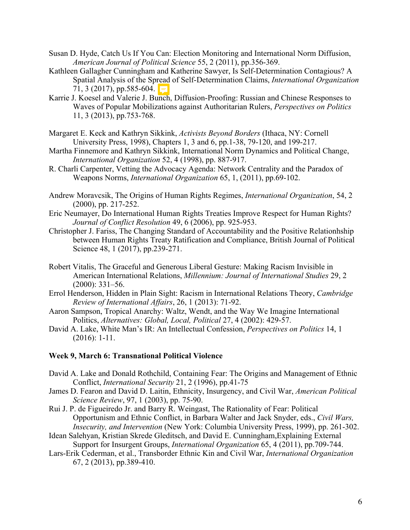- Susan D. Hyde, Catch Us If You Can: Election Monitoring and International Norm Diffusion, *American Journal of Political Science* 55, 2 (2011), pp.356-369.
- Kathleen Gallagher Cunningham and Katherine Sawyer, Is Self-Determination Contagious? A Spatial Analysis of the Spread of Self-Determination Claims, *International Organization* 71, 3 (2017), pp.585-604.
- Karrie J. Koesel and Valerie J. Bunch, Diffusion-Proofing: Russian and Chinese Responses to Waves of Popular Mobilizations against Authoritarian Rulers, *Perspectives on Politics* 11, 3 (2013), pp.753-768.
- Margaret E. Keck and Kathryn Sikkink, *Activists Beyond Borders* (Ithaca, NY: Cornell University Press, 1998), Chapters 1, 3 and 6, pp.1-38, 79-120, and 199-217.
- Martha Finnemore and Kathryn Sikkink, International Norm Dynamics and Political Change, *International Organization* 52, 4 (1998), pp. 887-917.
- R. Charli Carpenter, Vetting the Advocacy Agenda: Network Centrality and the Paradox of Weapons Norms, *International Organization* 65, 1, (2011), pp.69-102.
- Andrew Moravcsik, The Origins of Human Rights Regimes, *International Organization*, 54, 2 (2000), pp. 217-252.
- Eric Neumayer, Do International Human Rights Treaties Improve Respect for Human Rights? *Journal of Conflict Resolution* 49, 6 (2006), pp. 925-953.
- Christopher J. Fariss, The Changing Standard of Accountability and the Positive Relationhship between Human Rights Treaty Ratification and Compliance, British Journal of Political Science 48, 1 (2017), pp.239-271.
- Robert Vitalis, The Graceful and Generous Liberal Gesture: Making Racism Invisible in American International Relations, *Millennium: Journal of International Studies* 29, 2 (2000): 331–56.
- Errol Henderson, Hidden in Plain Sight: Racism in International Relations Theory, *Cambridge Review of International Affairs*, 26, 1 (2013): 71-92.
- Aaron Sampson, Tropical Anarchy: Waltz, Wendt, and the Way We Imagine International Politics, *Alternatives: Global, Local, Political* 27, 4 (2002): 429-57.
- David A. Lake, White Man's IR: An Intellectual Confession, *Perspectives on Politics* 14, 1 (2016): 1-11.

### **Week 9, March 6: Transnational Political Violence**

- David A. Lake and Donald Rothchild, Containing Fear: The Origins and Management of Ethnic Conflict, *International Security* 21, 2 (1996), pp.41-75
- James D. Fearon and David D. Laitin, Ethnicity, Insurgency, and Civil War, *American Political Science Review*, 97, 1 (2003), pp. 75-90.
- Rui J. P. de Figueiredo Jr. and Barry R. Weingast, The Rationality of Fear: Political Opportunism and Ethnic Conflict, in Barbara Walter and Jack Snyder, eds., *Civil Wars, Insecurity, and Intervention* (New York: Columbia University Press, 1999), pp. 261-302.
- Idean Salehyan, Kristian Skrede Gleditsch, and David E. Cunningham,Explaining External Support for Insurgent Groups, *International Organization* 65, 4 (2011), pp.709-744.
- Lars-Erik Cederman, et al., Transborder Ethnic Kin and Civil War, *International Organization* 67, 2 (2013), pp.389-410.